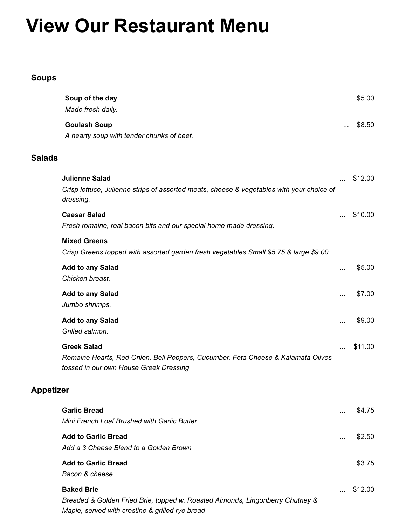# **View Our Restaurant Menu**

## **Soups**

|                                                                                                                                                       | \$8.50  |
|-------------------------------------------------------------------------------------------------------------------------------------------------------|---------|
| <b>Goulash Soup</b><br>.<br>A hearty soup with tender chunks of beef.                                                                                 |         |
| <b>Salads</b>                                                                                                                                         |         |
| <b>Julienne Salad</b><br>$\cdots$<br>Crisp lettuce, Julienne strips of assorted meats, cheese & vegetables with your choice of<br>dressing.           | \$12.00 |
| <b>Caesar Salad</b><br>Fresh romaine, real bacon bits and our special home made dressing.                                                             | \$10.00 |
| <b>Mixed Greens</b><br>Crisp Greens topped with assorted garden fresh vegetables. Small \$5.75 & large \$9.00                                         |         |
| <b>Add to any Salad</b><br><br>Chicken breast.                                                                                                        | \$5.00  |
| <b>Add to any Salad</b><br><br>Jumbo shrimps.                                                                                                         | \$7.00  |
| <b>Add to any Salad</b><br>$\cdots$<br>Grilled salmon.                                                                                                | \$9.00  |
| <b>Greek Salad</b><br>Romaine Hearts, Red Onion, Bell Peppers, Cucumber, Feta Cheese & Kalamata Olives<br>tossed in our own House Greek Dressing      | \$11.00 |
| <b>Appetizer</b>                                                                                                                                      |         |
| <b>Garlic Bread</b><br>Mini French Loaf Brushed with Garlic Butter                                                                                    | \$4.75  |
| <b>Add to Garlic Bread</b><br>$\cdots$<br>Add a 3 Cheese Blend to a Golden Brown                                                                      | \$2.50  |
| <b>Add to Garlic Bread</b><br>$\cdots$<br>Bacon & cheese.                                                                                             | \$3.75  |
| <b>Baked Brie</b><br>Breaded & Golden Fried Brie, topped w. Roasted Almonds, Lingonberry Chutney &<br>Maple, served with crostine & grilled rye bread | \$12.00 |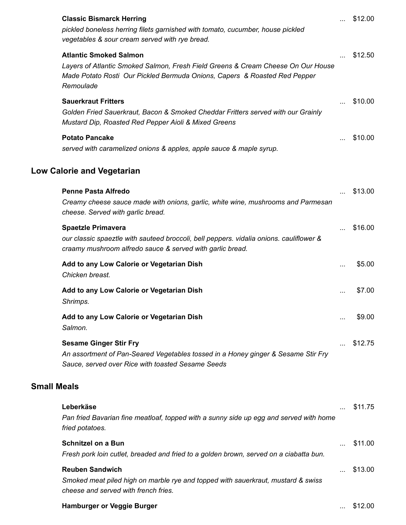|                    | <b>Classic Bismarck Herring</b><br>pickled boneless herring filets garnished with tomato, cucumber, house pickled<br>vegetables & sour cream served with rye bread.                                         |           | \$12.00 |
|--------------------|-------------------------------------------------------------------------------------------------------------------------------------------------------------------------------------------------------------|-----------|---------|
|                    | <b>Atlantic Smoked Salmon</b><br>Layers of Atlantic Smoked Salmon, Fresh Field Greens & Cream Cheese On Our House<br>Made Potato Rosti Our Pickled Bermuda Onions, Capers & Roasted Red Pepper<br>Remoulade | $\cdots$  | \$12.50 |
|                    | <b>Sauerkraut Fritters</b><br>Golden Fried Sauerkraut, Bacon & Smoked Cheddar Fritters served with our Grainly<br>Mustard Dip, Roasted Red Pepper Aioli & Mixed Greens                                      |           | \$10.00 |
|                    | <b>Potato Pancake</b><br>served with caramelized onions & apples, apple sauce & maple syrup.                                                                                                                |           | \$10.00 |
|                    | <b>Low Calorie and Vegetarian</b>                                                                                                                                                                           |           |         |
|                    | <b>Penne Pasta Alfredo</b><br>Creamy cheese sauce made with onions, garlic, white wine, mushrooms and Parmesan<br>cheese. Served with garlic bread.                                                         |           | \$13.00 |
|                    | <b>Spaetzle Primavera</b><br>our classic spaeztle with sauteed broccoli, bell peppers. vidalia onions. cauliflower &<br>craamy mushroom alfredo sauce & served with garlic bread.                           | $\ddotsc$ | \$16.00 |
|                    | Add to any Low Calorie or Vegetarian Dish<br>Chicken breast.                                                                                                                                                |           | \$5.00  |
|                    | Add to any Low Calorie or Vegetarian Dish<br>Shrimps.                                                                                                                                                       | $\cdots$  | \$7.00  |
|                    | Add to any Low Calorie or Vegetarian Dish<br>Salmon.                                                                                                                                                        | $\cdots$  | \$9.00  |
|                    | <b>Sesame Ginger Stir Fry</b><br>An assortment of Pan-Seared Vegetables tossed in a Honey ginger & Sesame Stir Fry<br>Sauce, served over Rice with toasted Sesame Seeds                                     | $\ddotsc$ | \$12.75 |
| <b>Small Meals</b> |                                                                                                                                                                                                             |           |         |
|                    | Leberkäse<br>Pan fried Bavarian fine meatloaf, topped with a sunny side up egg and served with home<br>fried potatoes.                                                                                      |           | \$11.75 |
|                    | <b>Schnitzel on a Bun</b><br>Fresh pork loin cutlet, breaded and fried to a golden brown, served on a ciabatta bun.                                                                                         |           | \$11.00 |
|                    | <b>Reuben Sandwich</b><br>Smoked meat piled high on marble rye and topped with sauerkraut, mustard & swiss<br>cheese and served with french fries.                                                          |           | \$13.00 |

#### **Hamburger or Veggie Burger Contract Contract Contract Contract Contract Contract Contract Contract Contract Contract Contract Contract Contract Contract Contract Contract Contract Contract Contract Contract Contract Con**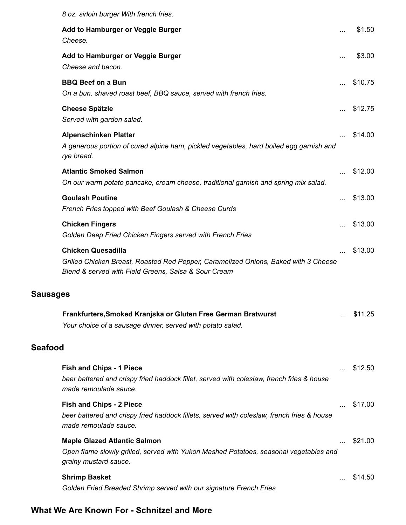|                 | 8 oz. sirloin burger With french fries.                                                                                                                                  |           |         |
|-----------------|--------------------------------------------------------------------------------------------------------------------------------------------------------------------------|-----------|---------|
|                 | Add to Hamburger or Veggie Burger<br>Cheese.                                                                                                                             | .         | \$1.50  |
|                 | Add to Hamburger or Veggie Burger<br>Cheese and bacon.                                                                                                                   | $\cdots$  | \$3.00  |
|                 | <b>BBQ Beef on a Bun</b><br>On a bun, shaved roast beef, BBQ sauce, served with french fries.                                                                            |           | \$10.75 |
|                 | <b>Cheese Spätzle</b><br>Served with garden salad.                                                                                                                       |           | \$12.75 |
|                 | <b>Alpenschinken Platter</b><br>A generous portion of cured alpine ham, pickled vegetables, hard boiled egg garnish and<br>rye bread.                                    |           | \$14.00 |
|                 | <b>Atlantic Smoked Salmon</b><br>On our warm potato pancake, cream cheese, traditional garnish and spring mix salad.                                                     |           | \$12.00 |
|                 | <b>Goulash Poutine</b><br>French Fries topped with Beef Goulash & Cheese Curds                                                                                           | $\ddotsc$ | \$13.00 |
|                 | <b>Chicken Fingers</b><br>Golden Deep Fried Chicken Fingers served with French Fries                                                                                     |           | \$13.00 |
|                 | <b>Chicken Quesadilla</b><br>Grilled Chicken Breast, Roasted Red Pepper, Caramelized Onions, Baked with 3 Cheese<br>Blend & served with Field Greens, Salsa & Sour Cream |           | \$13.00 |
| <b>Sausages</b> |                                                                                                                                                                          |           |         |
|                 | Frankfurters, Smoked Kranjska or Gluten Free German Bratwurst<br>Your choice of a sausage dinner, served with potato salad.                                              |           | \$11.25 |
| <b>Seafood</b>  |                                                                                                                                                                          |           |         |
|                 | <b>Fish and Chips - 1 Piece</b><br>beer battered and crispy fried haddock fillet, served with coleslaw, french fries & house<br>made remoulade sauce.                    |           | \$12.50 |
|                 | <b>Fish and Chips - 2 Piece</b><br>beer battered and crispy fried haddock fillets, served with coleslaw, french fries & house<br>made remoulade sauce.                   |           | \$17.00 |
|                 | <b>Maple Glazed Atlantic Salmon</b><br>Open flame slowly grilled, served with Yukon Mashed Potatoes, seasonal vegetables and<br>grainy mustard sauce.                    | $\cdots$  | \$21.00 |
|                 | <b>Shrimp Basket</b><br>Golden Fried Breaded Shrimp served with our signature French Fries                                                                               |           | \$14.50 |

## **What We Are Known For - Schnitzel and More**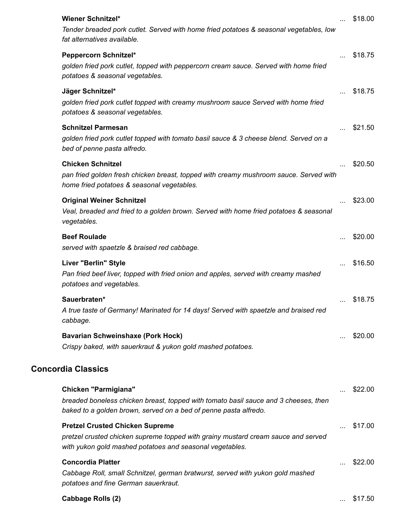| <b>Wiener Schnitzel*</b><br>Tender breaded pork cutlet. Served with home fried potatoes & seasonal vegetables, low<br>fat alternatives available.                                       |          | \$18.00 |
|-----------------------------------------------------------------------------------------------------------------------------------------------------------------------------------------|----------|---------|
| <b>Peppercorn Schnitzel*</b><br>golden fried pork cutlet, topped with peppercorn cream sauce. Served with home fried<br>potatoes & seasonal vegetables.                                 | $\ldots$ | \$18.75 |
| Jäger Schnitzel*<br>golden fried pork cutlet topped with creamy mushroom sauce Served with home fried<br>potatoes & seasonal vegetables.                                                |          | \$18.75 |
| <b>Schnitzel Parmesan</b><br>golden fried pork cutlet topped with tomato basil sauce & 3 cheese blend. Served on a<br>bed of penne pasta alfredo.                                       |          | \$21.50 |
| <b>Chicken Schnitzel</b><br>pan fried golden fresh chicken breast, topped with creamy mushroom sauce. Served with<br>home fried potatoes & seasonal vegetables.                         |          | \$20.50 |
| <b>Original Weiner Schnitzel</b><br>Veal, breaded and fried to a golden brown. Served with home fried potatoes & seasonal<br>vegetables.                                                |          | \$23.00 |
| <b>Beef Roulade</b><br>served with spaetzle & braised red cabbage.                                                                                                                      |          | \$20.00 |
| Liver "Berlin" Style<br>Pan fried beef liver, topped with fried onion and apples, served with creamy mashed<br>potatoes and vegetables.                                                 |          | \$16.50 |
| Sauerbraten*<br>A true taste of Germany! Marinated for 14 days! Served with spaetzle and braised red<br>cabbage.                                                                        |          | \$18.75 |
| <b>Bavarian Schweinshaxe (Pork Hock)</b><br>Crispy baked, with sauerkraut & yukon gold mashed potatoes.                                                                                 |          | \$20.00 |
| <b>Concordia Classics</b>                                                                                                                                                               |          |         |
| Chicken "Parmigiana"<br>breaded boneless chicken breast, topped with tomato basil sauce and 3 cheeses, then<br>baked to a golden brown, served on a bed of penne pasta alfredo.         |          | \$22.00 |
| <b>Pretzel Crusted Chicken Supreme</b><br>pretzel crusted chicken supreme topped with grainy mustard cream sauce and served<br>with yukon gold mashed potatoes and seasonal vegetables. |          | \$17.00 |
| <b>Concordia Platter</b><br>Cabbage Roll, small Schnitzel, german bratwurst, served with yukon gold mashed<br>potatoes and fine German sauerkraut.                                      |          | \$22.00 |
| <b>Cabbage Rolls (2)</b>                                                                                                                                                                |          | \$17.50 |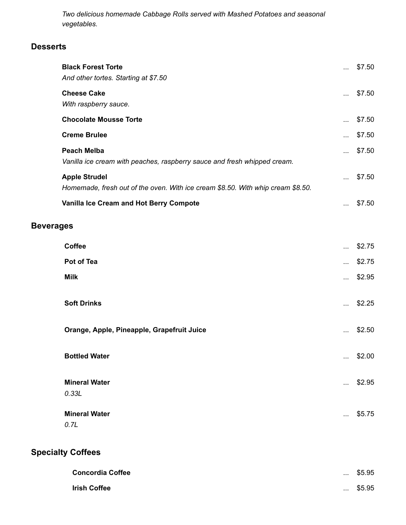*Two delicious homemade Cabbage Rolls served with Mashed Potatoes and seasonal vegetables.*

#### **Desserts**

|                  | <b>Black Forest Torte</b><br>And other tortes. Starting at \$7.50                                       | $\cdots$  | \$7.50 |
|------------------|---------------------------------------------------------------------------------------------------------|-----------|--------|
|                  | <b>Cheese Cake</b><br>With raspberry sauce.                                                             |           | \$7.50 |
|                  | <b>Chocolate Mousse Torte</b>                                                                           |           | \$7.50 |
|                  | <b>Creme Brulee</b>                                                                                     | $\cdots$  | \$7.50 |
|                  | <b>Peach Melba</b><br>Vanilla ice cream with peaches, raspberry sauce and fresh whipped cream.          | $\ddotsc$ | \$7.50 |
|                  | <b>Apple Strudel</b><br>Homemade, fresh out of the oven. With ice cream \$8.50. With whip cream \$8.50. |           | \$7.50 |
|                  | Vanilla Ice Cream and Hot Berry Compote                                                                 | $\cdots$  | \$7.50 |
| <b>Beverages</b> |                                                                                                         |           |        |
|                  | Coffee                                                                                                  |           | \$2.75 |
|                  | Pot of Tea                                                                                              | $\cdots$  | \$2.75 |
|                  | <b>Milk</b>                                                                                             | $\cdots$  | \$2.95 |
|                  | <b>Soft Drinks</b>                                                                                      |           | \$2.25 |
|                  | Orange, Apple, Pineapple, Grapefruit Juice                                                              | $\cdots$  | \$2.50 |
|                  | <b>Bottled Water</b>                                                                                    | $\cdots$  | \$2.00 |
|                  | <b>Mineral Water</b>                                                                                    | $\cdots$  | \$2.95 |
|                  | 0.33L                                                                                                   |           |        |
|                  | <b>Mineral Water</b>                                                                                    |           | \$5.75 |
|                  | 0.7L                                                                                                    |           |        |
|                  | <b>Specialty Coffees</b>                                                                                |           |        |

| <b>Concordia Coffee</b> | $\cdots$ | \$5.95 |
|-------------------------|----------|--------|
| <b>Irish Coffee</b>     | $\cdots$ | \$5.95 |